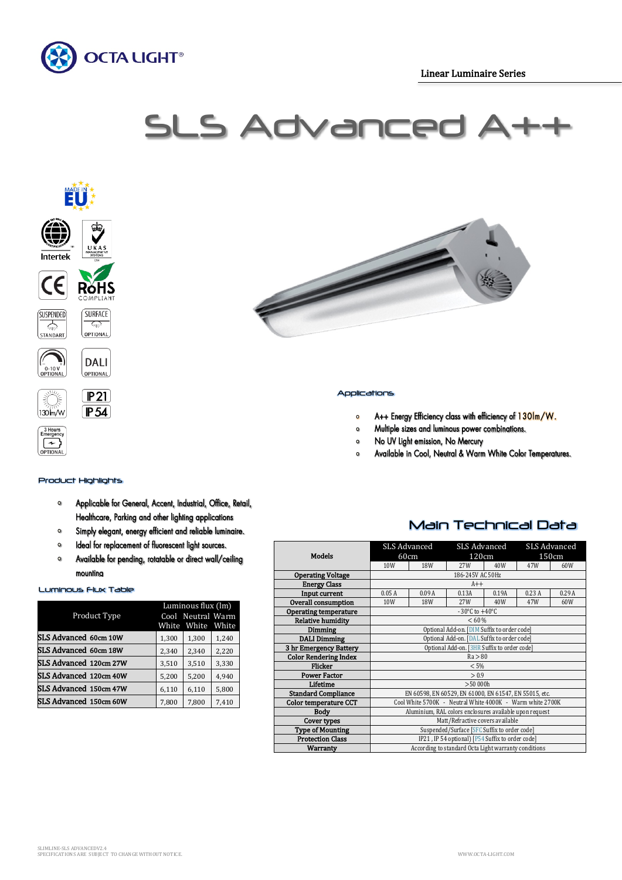

# SLS Advance





## BHours<br>Emergency OPTIONAL

#### Product Highlights

- Applicable for General, Accent, Industrial, Office, Retail,  $\Omega$ Healthcare, Parking and other lighting applications
- $\bullet$ Simply elegant, energy efficient and reliable luminaire.
- Ideal for replacement of fluorescent light sources.  $\circ$
- Available for pending, rotatable or direct wall/ceiling  $\Omega$ mounting

#### Luminous Flux Table

|                        | Luminous flux (lm)<br>Cool Neutral Warm |       |       |  |
|------------------------|-----------------------------------------|-------|-------|--|
| Product Type           | White                                   | White | White |  |
| SLS Advanced 60cm 10W  | 1,300                                   | 1,300 | 1,240 |  |
| SLS Advanced 60cm 18W  | 2,340                                   | 2,340 | 2,220 |  |
| SLS Advanced 120cm 27W | 3,510                                   | 3,510 | 3,330 |  |
| SLS Advanced 120cm 40W | 5,200                                   | 5,200 | 4,940 |  |
| SLS Advanced 150cm 47W | 6,110                                   | 6,110 | 5,800 |  |
| SLS Advanced 150cm 60W | 7,800                                   | 7,800 | 7,410 |  |



#### Applications

- $\mathbf{o}$ A++ Energy Efficiency class with efficiency of 130lm/W.
- Multiple sizes and luminous power combinations.  $\circ$
- No UV Light emission, No Mercury  $\circ$
- Available in Cool, Neutral & Warm White Color Temperatures.  $\circ$

## Main Technical Data

| <b>Models</b>                | <b>SLS Advanced</b><br>60cm                               |            | SLS Advanced<br>120cm |       | <b>SLS Advanced</b><br>150cm |       |  |
|------------------------------|-----------------------------------------------------------|------------|-----------------------|-------|------------------------------|-------|--|
|                              | 10W                                                       | 18W        | 27W                   | 40W   | 47W                          | 60W   |  |
| <b>Operating Voltage</b>     | 186-245V AC 50Hz                                          |            |                       |       |                              |       |  |
| <b>Energy Class</b>          | $A++$                                                     |            |                       |       |                              |       |  |
| Input current                | 0.05A                                                     | 0.09A      | 0.13A                 | 0.19A | 0.23A                        | 0.29A |  |
| Overall consumption          | 10W                                                       | <b>18W</b> | 27W                   | 40W   | 47W                          | 60W   |  |
| <b>Operating temperature</b> | $-30^{\circ}$ C to $+40^{\circ}$ C                        |            |                       |       |                              |       |  |
| <b>Relative humidity</b>     | < 60 %                                                    |            |                       |       |                              |       |  |
| <b>Dimming</b>               | Optional Add-on. [DIM Suffix to order code]               |            |                       |       |                              |       |  |
| <b>DALI Dimming</b>          | Optional Add-on. [DAL Suffix to order code]               |            |                       |       |                              |       |  |
| 3 hr Emergency Battery       | Optional Add-on. [3HR Suffix to order code]               |            |                       |       |                              |       |  |
| <b>Color Rendering Index</b> | Ra > 80                                                   |            |                       |       |                              |       |  |
| <b>Flicker</b>               | $< 5\%$                                                   |            |                       |       |                              |       |  |
| <b>Power Factor</b>          | > 0.9                                                     |            |                       |       |                              |       |  |
| Lifetime                     | >50000h                                                   |            |                       |       |                              |       |  |
| <b>Standard Compliance</b>   | EN 60598, EN 60529, EN 61000, EN 61547, EN 55015, etc.    |            |                       |       |                              |       |  |
| <b>Color temperature CCT</b> | Cool White 5700K - Neutral White 4000K - Warm white 2700K |            |                       |       |                              |       |  |
| <b>Body</b>                  | Aluminium, RAL colors enclosures available upon request   |            |                       |       |                              |       |  |
| Cover types                  | Matt/Refractive covers available                          |            |                       |       |                              |       |  |
| <b>Type of Mounting</b>      | Suspended/Surface [SFC Suffix to order code]              |            |                       |       |                              |       |  |
| <b>Protection Class</b>      | IP21, IP 54 optional) [P54 Suffix to order code]          |            |                       |       |                              |       |  |
| Warranty                     | According to standard Octa Light warranty conditions      |            |                       |       |                              |       |  |